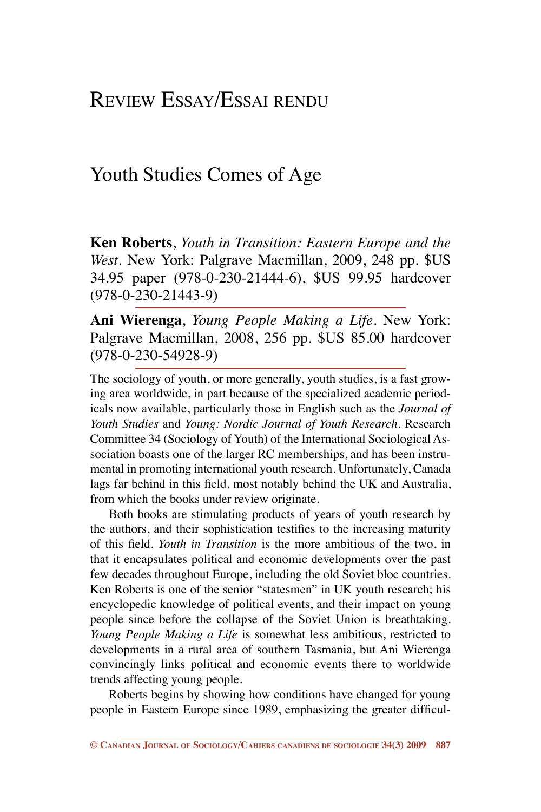# Review Essay/Essai rendu

## Youth Studies Comes of Age

**Ken Roberts**, *Youth in Transition: Eastern Europe and the West*. New York: Palgrave Macmillan, 2009, 248 pp. \$US 34.95 paper (978-0-230-21444-6), \$US 99.95 hardcover (978-0-230-21443-9)

**Ani Wierenga**, *Young People Making a Life*. New York: Palgrave Macmillan, 2008, 256 pp. \$US 85.00 hardcover (978-0-230-54928-9)

The sociology of youth, or more generally, youth studies, is a fast growing area worldwide, in part because of the specialized academic periodicals now available, particularly those in English such as the *Journal of Youth Studies* and *Young: Nordic Journal of Youth Research*. Research Committee 34 (Sociology of Youth) of the International Sociological Association boasts one of the larger RC memberships, and has been instrumental in promoting international youth research. Unfortunately, Canada lags far behind in this field, most notably behind the UK and Australia, from which the books under review originate.

Both books are stimulating products of years of youth research by the authors, and their sophistication testifies to the increasing maturity of this field. *Youth in Transition* is the more ambitious of the two, in that it encapsulates political and economic developments over the past few decades throughout Europe, including the old Soviet bloc countries. Ken Roberts is one of the senior "statesmen" in UK youth research; his encyclopedic knowledge of political events, and their impact on young people since before the collapse of the Soviet Union is breathtaking. *Young People Making a Life* is somewhat less ambitious, restricted to developments in a rural area of southern Tasmania, but Ani Wierenga convincingly links political and economic events there to worldwide trends affecting young people.

Roberts begins by showing how conditions have changed for young people in Eastern Europe since 1989, emphasizing the greater difficul-

**<sup>©</sup> Canadian Journal of Sociology/Cahiers canadiens de sociologie 34(3) 2009 887**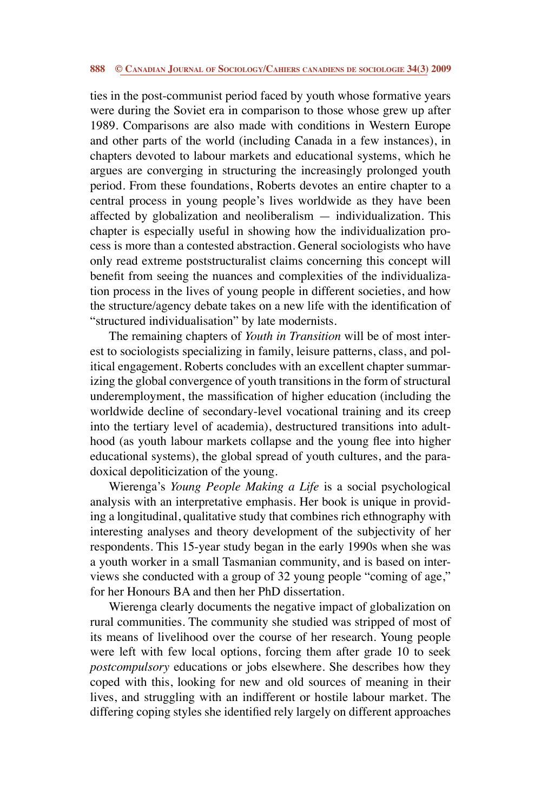#### **888 © Canadian Journal of Sociology/Cahiers canadiens de sociologie 34(3) 2009**

ties in the post-communist period faced by youth whose formative years were during the Soviet era in comparison to those whose grew up after 1989. Comparisons are also made with conditions in Western Europe and other parts of the world (including Canada in a few instances), in chapters devoted to labour markets and educational systems, which he argues are converging in structuring the increasingly prolonged youth period. From these foundations, Roberts devotes an entire chapter to a central process in young people's lives worldwide as they have been affected by globalization and neoliberalism — individualization. This chapter is especially useful in showing how the individualization process is more than a contested abstraction. General sociologists who have only read extreme poststructuralist claims concerning this concept will benefit from seeing the nuances and complexities of the individualization process in the lives of young people in different societies, and how the structure/agency debate takes on a new life with the identification of "structured individualisation" by late modernists.

The remaining chapters of *Youth in Transition* will be of most interest to sociologists specializing in family, leisure patterns, class, and political engagement. Roberts concludes with an excellent chapter summarizing the global convergence of youth transitions in the form of structural underemployment, the massification of higher education (including the worldwide decline of secondary-level vocational training and its creep into the tertiary level of academia), destructured transitions into adulthood (as youth labour markets collapse and the young flee into higher educational systems), the global spread of youth cultures, and the paradoxical depoliticization of the young.

Wierenga's *Young People Making a Life* is a social psychological analysis with an interpretative emphasis. Her book is unique in providing a longitudinal, qualitative study that combines rich ethnography with interesting analyses and theory development of the subjectivity of her respondents. This 15-year study began in the early 1990s when she was a youth worker in a small Tasmanian community, and is based on interviews she conducted with a group of 32 young people "coming of age," for her Honours BA and then her PhD dissertation.

Wierenga clearly documents the negative impact of globalization on rural communities. The community she studied was stripped of most of its means of livelihood over the course of her research. Young people were left with few local options, forcing them after grade 10 to seek *postcompulsory* educations or jobs elsewhere. She describes how they coped with this, looking for new and old sources of meaning in their lives, and struggling with an indifferent or hostile labour market. The differing coping styles she identified rely largely on different approaches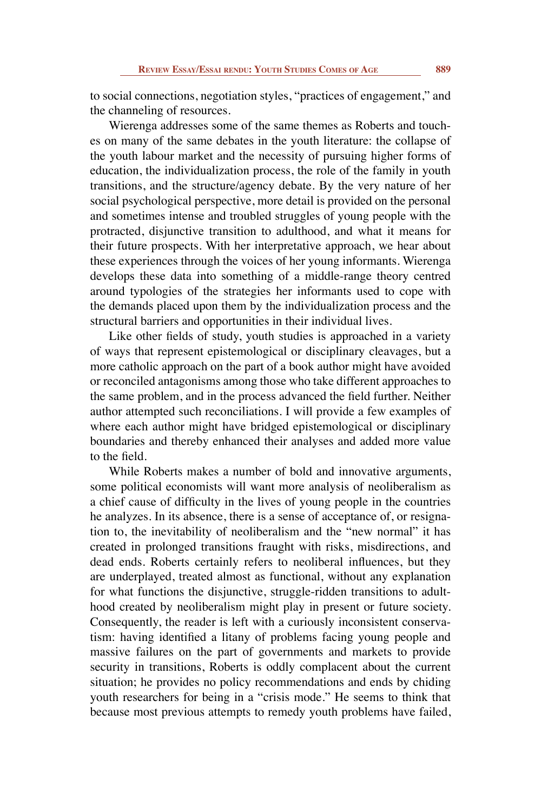to social connections, negotiation styles, "practices of engagement," and the channeling of resources.

Wierenga addresses some of the same themes as Roberts and touches on many of the same debates in the youth literature: the collapse of the youth labour market and the necessity of pursuing higher forms of education, the individualization process, the role of the family in youth transitions, and the structure/agency debate. By the very nature of her social psychological perspective, more detail is provided on the personal and sometimes intense and troubled struggles of young people with the protracted, disjunctive transition to adulthood, and what it means for their future prospects. With her interpretative approach, we hear about these experiences through the voices of her young informants. Wierenga develops these data into something of a middle-range theory centred around typologies of the strategies her informants used to cope with the demands placed upon them by the individualization process and the structural barriers and opportunities in their individual lives.

Like other fields of study, youth studies is approached in a variety of ways that represent epistemological or disciplinary cleavages, but a more catholic approach on the part of a book author might have avoided or reconciled antagonisms among those who take different approaches to the same problem, and in the process advanced the field further. Neither author attempted such reconciliations. I will provide a few examples of where each author might have bridged epistemological or disciplinary boundaries and thereby enhanced their analyses and added more value to the field.

While Roberts makes a number of bold and innovative arguments, some political economists will want more analysis of neoliberalism as a chief cause of difficulty in the lives of young people in the countries he analyzes. In its absence, there is a sense of acceptance of, or resignation to, the inevitability of neoliberalism and the "new normal" it has created in prolonged transitions fraught with risks, misdirections, and dead ends. Roberts certainly refers to neoliberal influences, but they are underplayed, treated almost as functional, without any explanation for what functions the disjunctive, struggle-ridden transitions to adulthood created by neoliberalism might play in present or future society. Consequently, the reader is left with a curiously inconsistent conservatism: having identified a litany of problems facing young people and massive failures on the part of governments and markets to provide security in transitions, Roberts is oddly complacent about the current situation; he provides no policy recommendations and ends by chiding youth researchers for being in a "crisis mode." He seems to think that because most previous attempts to remedy youth problems have failed,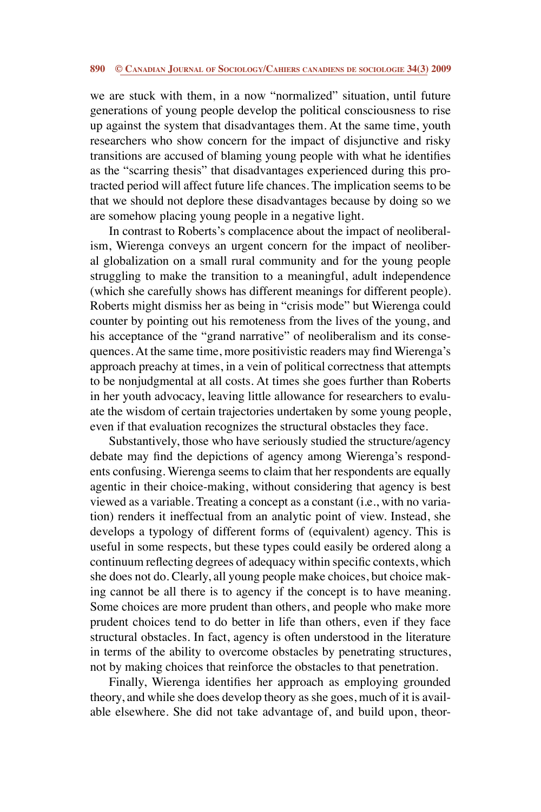#### **890 © Canadian Journal of Sociology/Cahiers canadiens de sociologie 34(3) 2009**

we are stuck with them, in a now "normalized" situation, until future generations of young people develop the political consciousness to rise up against the system that disadvantages them. At the same time, youth researchers who show concern for the impact of disjunctive and risky transitions are accused of blaming young people with what he identifies as the "scarring thesis" that disadvantages experienced during this protracted period will affect future life chances. The implication seems to be that we should not deplore these disadvantages because by doing so we are somehow placing young people in a negative light.

In contrast to Roberts's complacence about the impact of neoliberalism, Wierenga conveys an urgent concern for the impact of neoliberal globalization on a small rural community and for the young people struggling to make the transition to a meaningful, adult independence (which she carefully shows has different meanings for different people). Roberts might dismiss her as being in "crisis mode" but Wierenga could counter by pointing out his remoteness from the lives of the young, and his acceptance of the "grand narrative" of neoliberalism and its consequences. At the same time, more positivistic readers may find Wierenga's approach preachy at times, in a vein of political correctness that attempts to be nonjudgmental at all costs. At times she goes further than Roberts in her youth advocacy, leaving little allowance for researchers to evaluate the wisdom of certain trajectories undertaken by some young people, even if that evaluation recognizes the structural obstacles they face.

Substantively, those who have seriously studied the structure/agency debate may find the depictions of agency among Wierenga's respondents confusing. Wierenga seems to claim that her respondents are equally agentic in their choice-making, without considering that agency is best viewed as a variable. Treating a concept as a constant (i.e., with no variation) renders it ineffectual from an analytic point of view. Instead, she develops a typology of different forms of (equivalent) agency. This is useful in some respects, but these types could easily be ordered along a continuum reflecting degrees of adequacy within specific contexts, which she does not do. Clearly, all young people make choices, but choice making cannot be all there is to agency if the concept is to have meaning. Some choices are more prudent than others, and people who make more prudent choices tend to do better in life than others, even if they face structural obstacles. In fact, agency is often understood in the literature in terms of the ability to overcome obstacles by penetrating structures, not by making choices that reinforce the obstacles to that penetration.

Finally, Wierenga identifies her approach as employing grounded theory, and while she does develop theory as she goes, much of it is available elsewhere. She did not take advantage of, and build upon, theor